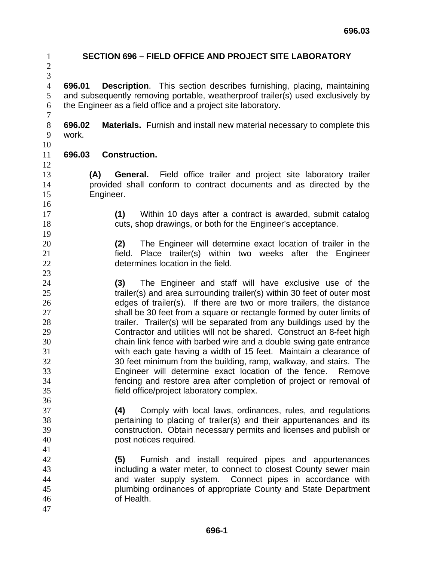**SECTION 696 – FIELD OFFICE AND PROJECT SITE LABORATORY 696.01 Description**. This section describes furnishing, placing, maintaining and subsequently removing portable, weatherproof trailer(s) used exclusively by the Engineer as a field office and a project site laboratory. **696.02 Materials.** Furnish and install new material necessary to complete this work. **696.03 Construction. (A) General.** Field office trailer and project site laboratory trailer provided shall conform to contract documents and as directed by the Engineer. **(1)** Within 10 days after a contract is awarded, submit catalog cuts, shop drawings, or both for the Engineer's acceptance. **(2)** The Engineer will determine exact location of trailer in the field. Place trailer(s) within two weeks after the Engineer determines location in the field. **(3)** The Engineer and staff will have exclusive use of the trailer(s) and area surrounding trailer(s) within 30 feet of outer most edges of trailer(s). If there are two or more trailers, the distance shall be 30 feet from a square or rectangle formed by outer limits of 28 trailer. Trailer(s) will be separated from any buildings used by the Contractor and utilities will not be shared. Construct an 8-feet high chain link fence with barbed wire and a double swing gate entrance with each gate having a width of 15 feet. Maintain a clearance of 30 feet minimum from the building, ramp, walkway, and stairs. The Engineer will determine exact location of the fence. Remove fencing and restore area after completion of project or removal of field office/project laboratory complex. **(4)** Comply with local laws, ordinances, rules, and regulations pertaining to placing of trailer(s) and their appurtenances and its construction. Obtain necessary permits and licenses and publish or post notices required. **(5)** Furnish and install required pipes and appurtenances including a water meter, to connect to closest County sewer main and water supply system. Connect pipes in accordance with plumbing ordinances of appropriate County and State Department of Health.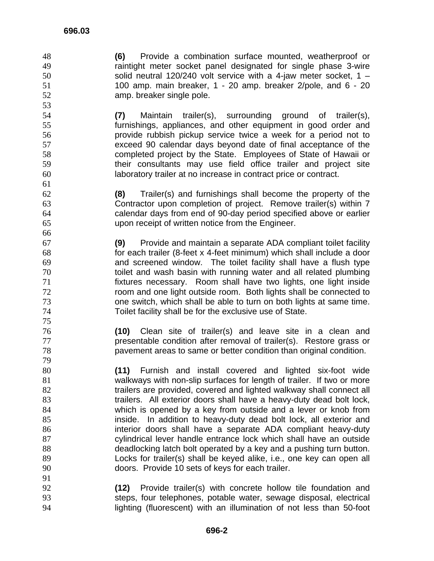**(6)** Provide a combination surface mounted, weatherproof or raintight meter socket panel designated for single phase 3-wire solid neutral 120/240 volt service with a 4-jaw meter socket, 1 – 100 amp. main breaker, 1 - 20 amp. breaker 2/pole, and 6 - 20 amp. breaker single pole.

**(7)** Maintain trailer(s), surrounding ground of trailer(s), furnishings, appliances, and other equipment in good order and provide rubbish pickup service twice a week for a period not to exceed 90 calendar days beyond date of final acceptance of the completed project by the State. Employees of State of Hawaii or their consultants may use field office trailer and project site laboratory trailer at no increase in contract price or contract.

**(8)** Trailer(s) and furnishings shall become the property of the Contractor upon completion of project. Remove trailer(s) within 7 calendar days from end of 90-day period specified above or earlier upon receipt of written notice from the Engineer. 

**(9)** Provide and maintain a separate ADA compliant toilet facility for each trailer (8-feet x 4-feet minimum) which shall include a door and screened window. The toilet facility shall have a flush type toilet and wash basin with running water and all related plumbing fixtures necessary. Room shall have two lights, one light inside room and one light outside room. Both lights shall be connected to one switch, which shall be able to turn on both lights at same time. Toilet facility shall be for the exclusive use of State.

**(10)** Clean site of trailer(s) and leave site in a clean and presentable condition after removal of trailer(s). Restore grass or pavement areas to same or better condition than original condition.

**(11)** Furnish and install covered and lighted six-foot wide walkways with non-slip surfaces for length of trailer. If two or more 82 trailers are provided, covered and lighted walkway shall connect all 83 trailers. All exterior doors shall have a heavy-duty dead bolt lock, which is opened by a key from outside and a lever or knob from inside. In addition to heavy-duty dead bolt lock, all exterior and interior doors shall have a separate ADA compliant heavy-duty cylindrical lever handle entrance lock which shall have an outside deadlocking latch bolt operated by a key and a pushing turn button. Locks for trailer(s) shall be keyed alike, i.e., one key can open all doors. Provide 10 sets of keys for each trailer.

**(12)** Provide trailer(s) with concrete hollow tile foundation and steps, four telephones, potable water, sewage disposal, electrical lighting (fluorescent) with an illumination of not less than 50-foot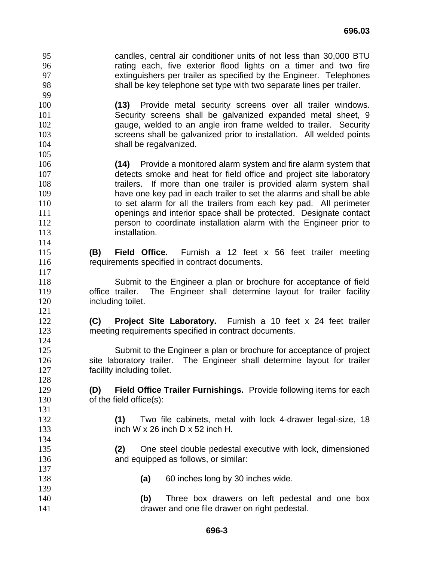candles, central air conditioner units of not less than 30,000 BTU rating each, five exterior flood lights on a timer and two fire extinguishers per trailer as specified by the Engineer. Telephones shall be key telephone set type with two separate lines per trailer. 

**(13)** Provide metal security screens over all trailer windows. Security screens shall be galvanized expanded metal sheet, 9 gauge, welded to an angle iron frame welded to trailer. Security screens shall be galvanized prior to installation. All welded points **shall be regalvanized.** 

- **(14)** Provide a monitored alarm system and fire alarm system that detects smoke and heat for field office and project site laboratory trailers. If more than one trailer is provided alarm system shall have one key pad in each trailer to set the alarms and shall be able 110 to set alarm for all the trailers from each key pad. All perimeter openings and interior space shall be protected. Designate contact person to coordinate installation alarm with the Engineer prior to installation.
- **(B) Field Office.** Furnish a 12 feet x 56 feet trailer meeting requirements specified in contract documents.
- Submit to the Engineer a plan or brochure for acceptance of field office trailer. The Engineer shall determine layout for trailer facility **including toilet.**
- **(C) Project Site Laboratory.** Furnish a 10 feet x 24 feet trailer meeting requirements specified in contract documents.
- Submit to the Engineer a plan or brochure for acceptance of project 126 site laboratory trailer. The Engineer shall determine layout for trailer **facility including toilet.**
- **(D) Field Office Trailer Furnishings.** Provide following items for each of the field office(s):
- **(1)** Two file cabinets, metal with lock 4-drawer legal-size, 18 inch W x 26 inch D x 52 inch H.
- **(2)** One steel double pedestal executive with lock, dimensioned **and equipped as follows, or similar:**
- **(a)** 60 inches long by 30 inches wide.
- **(b)** Three box drawers on left pedestal and one box drawer and one file drawer on right pedestal.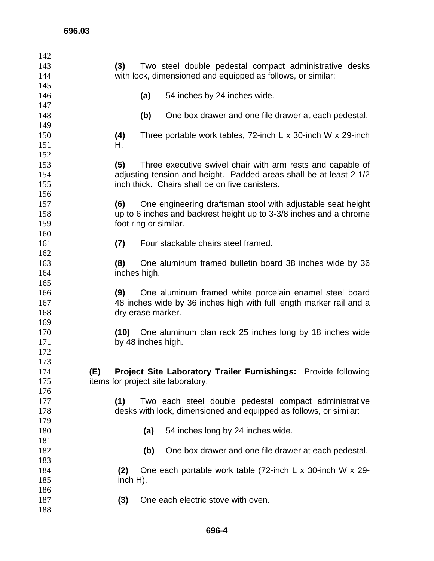| 142 |                                                                              |
|-----|------------------------------------------------------------------------------|
| 143 | Two steel double pedestal compact administrative desks<br>(3)                |
| 144 | with lock, dimensioned and equipped as follows, or similar:                  |
| 145 |                                                                              |
| 146 | 54 inches by 24 inches wide.<br>(a)                                          |
| 147 |                                                                              |
| 148 | (b)<br>One box drawer and one file drawer at each pedestal.                  |
| 149 |                                                                              |
| 150 | (4)<br>Three portable work tables, $72$ -inch L x 30-inch W x 29-inch        |
| 151 | Н.                                                                           |
| 152 |                                                                              |
| 153 | (5)<br>Three executive swivel chair with arm rests and capable of            |
| 154 | adjusting tension and height. Padded areas shall be at least 2-1/2           |
| 155 | inch thick. Chairs shall be on five canisters.                               |
| 156 |                                                                              |
| 157 | (6)<br>One engineering draftsman stool with adjustable seat height           |
| 158 | up to 6 inches and backrest height up to 3-3/8 inches and a chrome           |
| 159 | foot ring or similar.                                                        |
| 160 |                                                                              |
| 161 | Four stackable chairs steel framed.<br>(7)                                   |
| 162 |                                                                              |
| 163 | (8)<br>One aluminum framed bulletin board 38 inches wide by 36               |
| 164 | inches high.                                                                 |
| 165 |                                                                              |
| 166 | One aluminum framed white porcelain enamel steel board<br>(9)                |
| 167 | 48 inches wide by 36 inches high with full length marker rail and a          |
| 168 | dry erase marker.                                                            |
| 169 |                                                                              |
| 170 | One aluminum plan rack 25 inches long by 18 inches wide<br>(10)              |
| 171 | by 48 inches high.                                                           |
| 172 |                                                                              |
| 173 |                                                                              |
| 174 | (E)<br><b>Project Site Laboratory Trailer Furnishings:</b> Provide following |
| 175 | items for project site laboratory.                                           |
| 176 |                                                                              |
| 177 | Two each steel double pedestal compact administrative<br>(1)                 |
| 178 | desks with lock, dimensioned and equipped as follows, or similar:            |
| 179 |                                                                              |
| 180 | 54 inches long by 24 inches wide.<br>(a)                                     |
| 181 |                                                                              |
| 182 | (b)<br>One box drawer and one file drawer at each pedestal.                  |
| 183 |                                                                              |
| 184 | One each portable work table (72-inch L x 30-inch W x 29-<br>(2)             |
| 185 | $inch H$ ).                                                                  |
| 186 |                                                                              |
| 187 | One each electric stove with oven.<br>(3)                                    |
| 188 |                                                                              |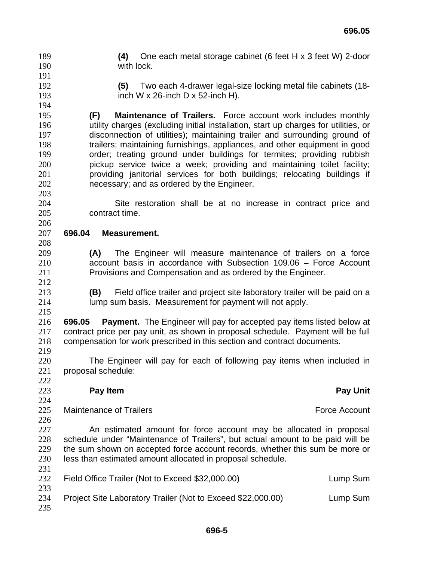**(4)** One each metal storage cabinet (6 feet H x 3 feet W) 2-door with lock.

- 
- 

**(5)** Two each 4-drawer legal-size locking metal file cabinets (18- inch W x 26-inch D x 52-inch H).

**(F) Maintenance of Trailers.** Force account work includes monthly utility charges (excluding initial installation, start up charges for utilities, or disconnection of utilities); maintaining trailer and surrounding ground of trailers; maintaining furnishings, appliances, and other equipment in good order; treating ground under buildings for termites; providing rubbish pickup service twice a week; providing and maintaining toilet facility; providing janitorial services for both buildings; relocating buildings if necessary; and as ordered by the Engineer.

Site restoration shall be at no increase in contract price and contract time.

## **696.04 Measurement.**

- **(A)** The Engineer will measure maintenance of trailers on a force account basis in accordance with Subsection 109.06 – Force Account Provisions and Compensation and as ordered by the Engineer.
- **(B)** Field office trailer and project site laboratory trailer will be paid on a lump sum basis. Measurement for payment will not apply.

**696.05 Payment.** The Engineer will pay for accepted pay items listed below at contract price per pay unit, as shown in proposal schedule. Payment will be full compensation for work prescribed in this section and contract documents. 

- The Engineer will pay for each of following pay items when included in proposal schedule:
- 

## **Pay Item Pay Unit**

- 225 Maintenance of Trailers **Force Account Force Account**
- 

An estimated amount for force account may be allocated in proposal schedule under "Maintenance of Trailers", but actual amount to be paid will be 229 the sum shown on accepted force account records, whether this sum be more or less than estimated amount allocated in proposal schedule.

| 232        | Field Office Trailer (Not to Exceed \$32,000.00)            | Lump Sum |
|------------|-------------------------------------------------------------|----------|
| 233<br>234 | Project Site Laboratory Trailer (Not to Exceed \$22,000.00) | Lump Sum |
| 235        |                                                             |          |